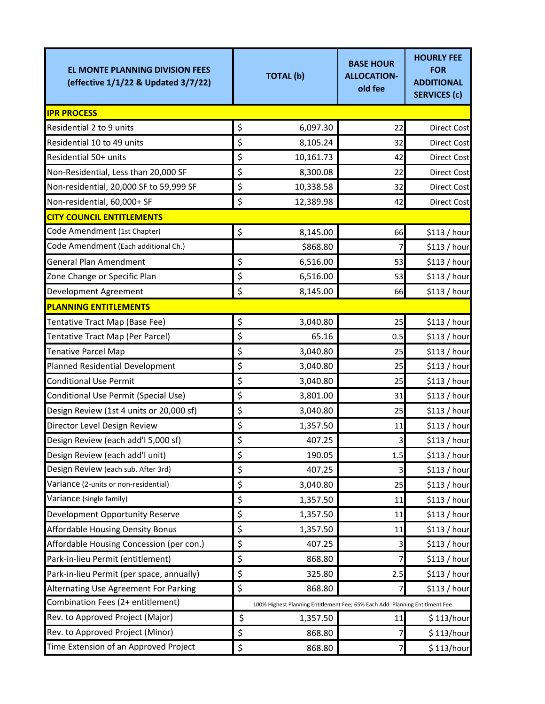| <b>EL MONTE PLANNING DIVISION FEES</b><br>(effective 1/1/22 & Updated 3/7/22) | <b>TOTAL (b)</b>                                                             | <b>BASE HOUR</b><br><b>ALLOCATION-</b><br>old fee | <b>HOURLY FEE</b><br><b>FOR</b><br><b>ADDITIONAL</b><br><b>SERVICES (c)</b> |  |
|-------------------------------------------------------------------------------|------------------------------------------------------------------------------|---------------------------------------------------|-----------------------------------------------------------------------------|--|
| <b>IPR PROCESS</b>                                                            |                                                                              |                                                   |                                                                             |  |
| Residential 2 to 9 units                                                      | \$<br>6,097.30                                                               | 22                                                | <b>Direct Cost</b>                                                          |  |
| Residential 10 to 49 units                                                    | \$<br>8,105.24                                                               | 32                                                | <b>Direct Cost</b>                                                          |  |
| Residential 50+ units                                                         | \$<br>10,161.73                                                              | 42                                                | <b>Direct Cost</b>                                                          |  |
| Non-Residential, Less than 20,000 SF                                          | \$<br>8,300.08                                                               | 22                                                | <b>Direct Cost</b>                                                          |  |
| Non-residential, 20,000 SF to 59,999 SF                                       | \$<br>10,338.58                                                              | 32                                                | <b>Direct Cost</b>                                                          |  |
| Non-residential, 60,000+ SF                                                   | \$<br>12,389.98                                                              | 42                                                | <b>Direct Cost</b>                                                          |  |
| <b>CITY COUNCIL ENTITLEMENTS</b>                                              |                                                                              |                                                   |                                                                             |  |
| Code Amendment (1st Chapter)                                                  | \$<br>8,145.00                                                               | 66                                                | \$113 / hour                                                                |  |
| Code Amendment (Each additional Ch.)                                          | \$868.80                                                                     | 7                                                 | \$113/hour                                                                  |  |
| <b>General Plan Amendment</b>                                                 | \$<br>6,516.00                                                               | 53                                                | \$113 / hour                                                                |  |
| Zone Change or Specific Plan                                                  | \$<br>6,516.00                                                               | 53                                                | \$113 / hour                                                                |  |
| Development Agreement                                                         | \$<br>8,145.00                                                               | 66                                                | \$113 / hour                                                                |  |
| <b>PLANNING ENTITLEMENTS</b>                                                  |                                                                              |                                                   |                                                                             |  |
| Tentative Tract Map (Base Fee)                                                | \$<br>3,040.80                                                               | 25                                                | \$113 / hour                                                                |  |
| Tentative Tract Map (Per Parcel)                                              | \$<br>65.16                                                                  | 0.5                                               | \$113 / hour                                                                |  |
| <b>Tenative Parcel Map</b>                                                    | \$<br>3,040.80                                                               | 25                                                | \$113 / hour                                                                |  |
| Planned Residential Development                                               | \$<br>3,040.80                                                               | 25                                                | \$113 / hour                                                                |  |
| <b>Conditional Use Permit</b>                                                 | \$<br>3,040.80                                                               | 25                                                | \$113 / hour                                                                |  |
| Conditional Use Permit (Special Use)                                          | \$<br>3,801.00                                                               | 31                                                | \$113 / hour                                                                |  |
| Design Review (1st 4 units or 20,000 sf)                                      | \$<br>3,040.80                                                               | 25                                                | \$113 / hour                                                                |  |
| Director Level Design Review                                                  | \$<br>1,357.50                                                               | 11                                                | \$113 / hour                                                                |  |
| Design Review (each add'l 5,000 sf)                                           | \$<br>407.25                                                                 | 3                                                 | \$113 / hour                                                                |  |
| Design Review (each add'l unit)                                               | \$<br>190.05                                                                 | 1.5                                               | \$113 / hour                                                                |  |
| Design Review (each sub. After 3rd)                                           | \$<br>407.25                                                                 | 3                                                 | \$113 / hour                                                                |  |
| Variance (2-units or non-residential)                                         | \$<br>3,040.80                                                               | 25                                                | \$113 / hour                                                                |  |
| Variance (single family)                                                      | \$<br>1,357.50                                                               | 11                                                | \$113 / hour                                                                |  |
| Development Opportunity Reserve                                               | \$<br>1,357.50                                                               | 11                                                | \$113 / hour                                                                |  |
| Affordable Housing Density Bonus                                              | \$<br>1,357.50                                                               | 11                                                | \$113 / hour                                                                |  |
| Affordable Housing Concession (per con.)                                      | \$<br>407.25                                                                 | 3                                                 | \$113 / hour                                                                |  |
| Park-in-lieu Permit (entitlement)                                             | \$<br>868.80                                                                 | 7                                                 | \$113 / hour                                                                |  |
| Park-in-lieu Permit (per space, annually)                                     | \$<br>325.80                                                                 | 2.5                                               | \$113 / hour                                                                |  |
| Alternating Use Agreement For Parking                                         | \$<br>868.80                                                                 | 7                                                 | \$113 / hour                                                                |  |
| Combination Fees (2+ entitlement)                                             | 100% Highest Planning Entitlement Fee; 65% Each Add. Planning Entitlment Fee |                                                   |                                                                             |  |
| Rev. to Approved Project (Major)                                              | \$<br>1,357.50                                                               | 11                                                | \$113/hour                                                                  |  |
| Rev. to Approved Project (Minor)                                              | \$<br>868.80                                                                 | 7                                                 | \$113/hour                                                                  |  |
| Time Extension of an Approved Project                                         | \$<br>868.80                                                                 | 7                                                 | \$113/hour                                                                  |  |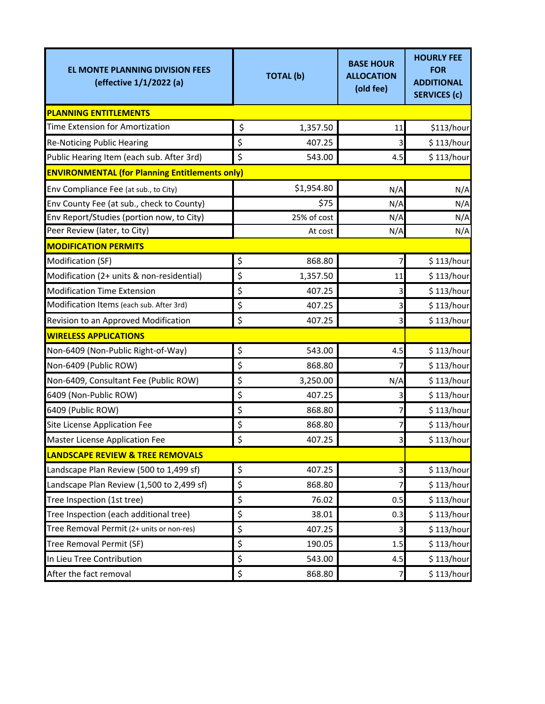| <b>EL MONTE PLANNING DIVISION FEES</b><br>(effective 1/1/2022 (a) | <b>TOTAL (b)</b> | <b>BASE HOUR</b><br><b>ALLOCATION</b><br>(old fee) | <b>HOURLY FEE</b><br><b>FOR</b><br><b>ADDITIONAL</b><br><b>SERVICES (c)</b> |  |  |  |
|-------------------------------------------------------------------|------------------|----------------------------------------------------|-----------------------------------------------------------------------------|--|--|--|
| <b>PLANNING ENTITLEMENTS</b>                                      |                  |                                                    |                                                                             |  |  |  |
| Time Extension for Amortization                                   | \$<br>1,357.50   | 11                                                 | \$113/hour                                                                  |  |  |  |
| <b>Re-Noticing Public Hearing</b>                                 | \$<br>407.25     | 3                                                  | \$113/hour                                                                  |  |  |  |
| Public Hearing Item (each sub. After 3rd)                         | \$<br>543.00     | 4.5                                                | \$113/hour                                                                  |  |  |  |
| <b>ENVIRONMENTAL (for Planning Entitlements only)</b>             |                  |                                                    |                                                                             |  |  |  |
| Env Compliance Fee (at sub., to City)                             | \$1,954.80       | N/A                                                | N/A                                                                         |  |  |  |
| Env County Fee (at sub., check to County)                         | \$75             | N/A                                                | N/A                                                                         |  |  |  |
| Env Report/Studies (portion now, to City)                         | 25% of cost      | N/A                                                | N/A                                                                         |  |  |  |
| Peer Review (later, to City)                                      | At cost          | N/A                                                | N/A                                                                         |  |  |  |
| <b>MODIFICATION PERMITS</b>                                       |                  |                                                    |                                                                             |  |  |  |
| Modification (SF)                                                 | \$<br>868.80     | 7                                                  | \$113/hour                                                                  |  |  |  |
| Modification (2+ units & non-residential)                         | \$<br>1,357.50   | 11                                                 | \$113/hour                                                                  |  |  |  |
| <b>Modification Time Extension</b>                                | \$<br>407.25     | 3                                                  | \$113/hour                                                                  |  |  |  |
| Modification Items (each sub. After 3rd)                          | \$<br>407.25     | 3                                                  | \$113/hour                                                                  |  |  |  |
| Revision to an Approved Modification                              | \$<br>407.25     | 3                                                  | \$113/hour                                                                  |  |  |  |
| <b>WIRELESS APPLICATIONS</b>                                      |                  |                                                    |                                                                             |  |  |  |
| Non-6409 (Non-Public Right-of-Way)                                | \$<br>543.00     | 4.5                                                | \$113/hour                                                                  |  |  |  |
| Non-6409 (Public ROW)                                             | \$<br>868.80     | 7                                                  | \$113/hour                                                                  |  |  |  |
| Non-6409, Consultant Fee (Public ROW)                             | \$<br>3,250.00   | N/A                                                | \$113/hour                                                                  |  |  |  |
| 6409 (Non-Public ROW)                                             | \$<br>407.25     | 3                                                  | \$113/hour                                                                  |  |  |  |
| 6409 (Public ROW)                                                 | \$<br>868.80     | 7                                                  | \$113/hour                                                                  |  |  |  |
| Site License Application Fee                                      | \$<br>868.80     | 7                                                  | \$113/hour                                                                  |  |  |  |
| <b>Master License Application Fee</b>                             | \$<br>407.25     | 3                                                  | \$113/hour                                                                  |  |  |  |
| <b>LANDSCAPE REVIEW &amp; TREE REMOVALS</b>                       |                  |                                                    |                                                                             |  |  |  |
| Landscape Plan Review (500 to 1,499 sf)                           | \$<br>407.25     | 3                                                  | \$113/hour                                                                  |  |  |  |
| Landscape Plan Review (1,500 to 2,499 sf)                         | \$<br>868.80     | 7                                                  | \$113/hour                                                                  |  |  |  |
| Tree Inspection (1st tree)                                        | \$<br>76.02      | 0.5                                                | \$113/hour                                                                  |  |  |  |
| Tree Inspection (each additional tree)                            | \$<br>38.01      | 0.3                                                | \$113/hour                                                                  |  |  |  |
| Tree Removal Permit (2+ units or non-res)                         | \$<br>407.25     | 3                                                  | \$113/hour                                                                  |  |  |  |
| Tree Removal Permit (SF)                                          | \$<br>190.05     | 1.5                                                | \$113/hour                                                                  |  |  |  |
| In Lieu Tree Contribution                                         | \$<br>543.00     | 4.5                                                | \$113/hour                                                                  |  |  |  |
| After the fact removal                                            | \$<br>868.80     | 7                                                  | \$113/hour                                                                  |  |  |  |